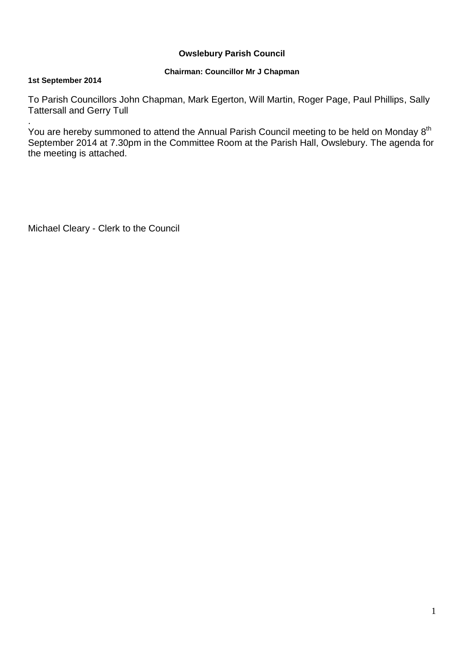## **Owslebury Parish Council**

## **Chairman: Councillor Mr J Chapman**

### **1st September 2014**

To Parish Councillors John Chapman, Mark Egerton, Will Martin, Roger Page, Paul Phillips, Sally Tattersall and Gerry Tull

. You are hereby summoned to attend the Annual Parish Council meeting to be held on Monday 8<sup>th</sup> September 2014 at 7.30pm in the Committee Room at the Parish Hall, Owslebury. The agenda for the meeting is attached.

Michael Cleary - Clerk to the Council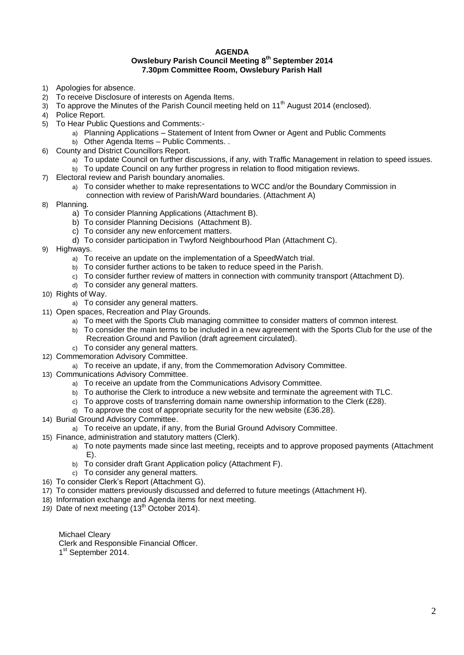#### **AGENDA Owslebury Parish Council Meeting 8 th September 2014 7.30pm Committee Room, Owslebury Parish Hall**

- 1) Apologies for absence.
- 2) To receive Disclosure of interests on Agenda Items.
- $3)$  To approve the Minutes of the Parish Council meeting held on 11<sup>th</sup> August 2014 (enclosed).
- 4) Police Report.
- 5) To Hear Public Questions and Comments:
	- a) Planning Applications Statement of Intent from Owner or Agent and Public Comments
		- b) Other Agenda Items Public Comments. .
- 6) County and District Councillors Report.
	- a) To update Council on further discussions, if any, with Traffic Management in relation to speed issues.
	- b) To update Council on any further progress in relation to flood mitigation reviews.
- 7) Electoral review and Parish boundary anomalies.
	- a) To consider whether to make representations to WCC and/or the Boundary Commission in
		- connection with review of Parish/Ward boundaries. (Attachment A)
- 8) Planning.
	- a) To consider Planning Applications (Attachment B).
	- b) To consider Planning Decisions (Attachment B).
	- c) To consider any new enforcement matters.
	- d) To consider participation in Twyford Neighbourhood Plan (Attachment C).
- 9) Highways.
	- a) To receive an update on the implementation of a SpeedWatch trial.
	- b) To consider further actions to be taken to reduce speed in the Parish.
	- c) To consider further review of matters in connection with community transport (Attachment D).
	- d) To consider any general matters.
- 10) Rights of Way.
	- a) To consider any general matters.
- 11) Open spaces, Recreation and Play Grounds.
	- a) To meet with the Sports Club managing committee to consider matters of common interest.
	- b) To consider the main terms to be included in a new agreement with the Sports Club for the use of the Recreation Ground and Pavilion (draft agreement circulated).
	- c) To consider any general matters.
- 12) Commemoration Advisory Committee.
- a) To receive an update, if any, from the Commemoration Advisory Committee.
- 13) Communications Advisory Committee.
	- a) To receive an update from the Communications Advisory Committee.
	- b) To authorise the Clerk to introduce a new website and terminate the agreement with TLC.
	- c) To approve costs of transferring domain name ownership information to the Clerk (£28).
	- d) To approve the cost of appropriate security for the new website (£36.28).
- 14) Burial Ground Advisory Committee.
	- a) To receive an update, if any, from the Burial Ground Advisory Committee.
- 15) Finance, administration and statutory matters (Clerk).
	- a) To note payments made since last meeting, receipts and to approve proposed payments (Attachment E).
	- b) To consider draft Grant Application policy (Attachment F).
	- c) To consider any general matters.
- 16) To consider Clerk's Report (Attachment G).
- 17) To consider matters previously discussed and deferred to future meetings (Attachment H).
- 18) Information exchange and Agenda items for next meeting.
- 19) Date of next meeting (13<sup>th</sup> October 2014).

Michael Cleary

- Clerk and Responsible Financial Officer.
- 1<sup>st</sup> September 2014.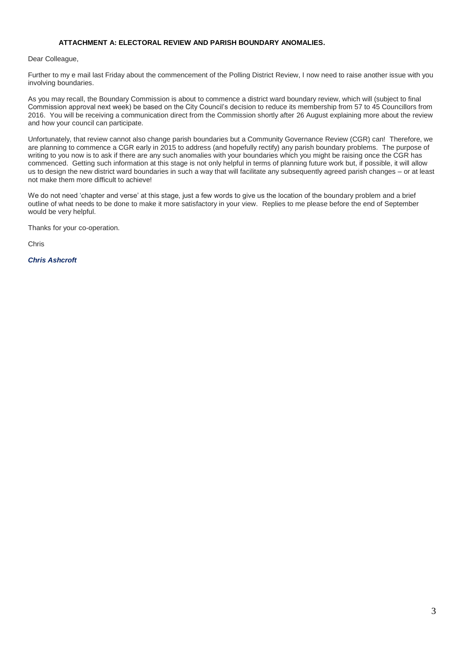### **ATTACHMENT A: ELECTORAL REVIEW AND PARISH BOUNDARY ANOMALIES.**

#### Dear Colleague,

Further to my e mail last Friday about the commencement of the Polling District Review, I now need to raise another issue with you involving boundaries.

As you may recall, the Boundary Commission is about to commence a district ward boundary review, which will (subject to final Commission approval next week) be based on the City Council's decision to reduce its membership from 57 to 45 Councillors from 2016. You will be receiving a communication direct from the Commission shortly after 26 August explaining more about the review and how your council can participate.

Unfortunately, that review cannot also change parish boundaries but a Community Governance Review (CGR) can! Therefore, we are planning to commence a CGR early in 2015 to address (and hopefully rectify) any parish boundary problems. The purpose of writing to you now is to ask if there are any such anomalies with your boundaries which you might be raising once the CGR has commenced. Getting such information at this stage is not only helpful in terms of planning future work but, if possible, it will allow us to design the new district ward boundaries in such a way that will facilitate any subsequently agreed parish changes – or at least not make them more difficult to achieve!

We do not need 'chapter and verse' at this stage, just a few words to give us the location of the boundary problem and a brief outline of what needs to be done to make it more satisfactory in your view. Replies to me please before the end of September would be very helpful.

Thanks for your co-operation.

Chris

*Chris Ashcroft*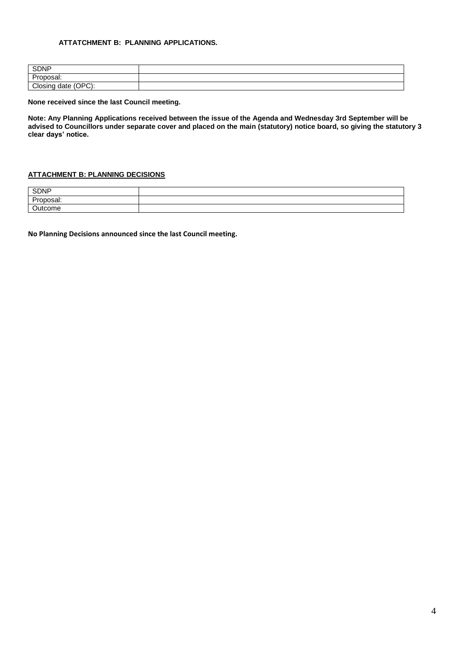### **ATTATCHMENT B: PLANNING APPLICATIONS.**

| <b>SDNP</b>                                               |  |
|-----------------------------------------------------------|--|
| Dr.<br>$\sim$ $\sim$ $\sim$ $\sim$ $\sim$<br>woai.<br>ייש |  |
| יחסחי<br>Closing<br>doto<br>г<br>Closing<br>, udlo :<br>ີ |  |

**None received since the last Council meeting.**

**Note: Any Planning Applications received between the issue of the Agenda and Wednesday 3rd September will be advised to Councillors under separate cover and placed on the main (statutory) notice board, so giving the statutory 3 clear days' notice.** 

### **ATTACHMENT B: PLANNING DECISIONS**

| <b>SDNP</b> |  |
|-------------|--|
| -<br>,,,,,, |  |
|             |  |

**No Planning Decisions announced since the last Council meeting.**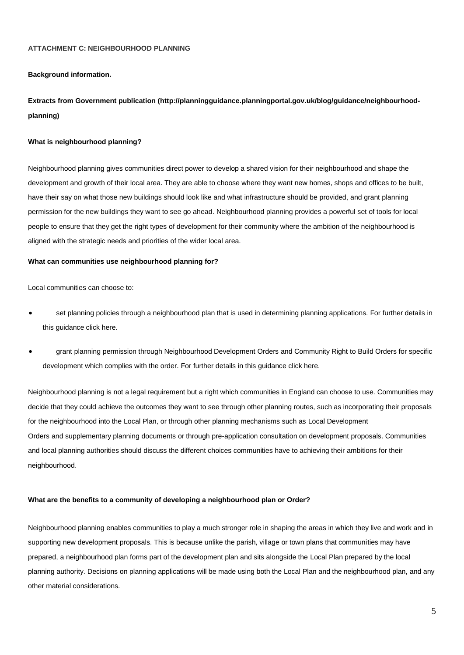#### **ATTACHMENT C: NEIGHBOURHOOD PLANNING**

#### **Background information.**

**Extracts from Government publication (http://planningguidance.planningportal.gov.uk/blog/guidance/neighbourhoodplanning)**

#### **What is neighbourhood planning?**

Neighbourhood planning gives communities direct power to develop a shared vision for their neighbourhood and shape the development and growth of their local area. They are able to choose where they want new homes, shops and offices to be built, have their say on what those new buildings should look like and what infrastructure should be provided, and grant planning permission for the new buildings they want to see go ahead. Neighbourhood planning provides a powerful set of tools for local people to ensure that they get the right types of development for their community where the ambition of the neighbourhood is aligned with the strategic needs and priorities of the wider local area.

#### **What can communities use neighbourhood planning for?**

Local communities can choose to:

- set planning policies through a neighbourhood plan that is used in determining planning applications. [For further details in](http://planningguidance.planningportal.gov.uk/blog/guidance/neighbourhood-planning/what-is-neighbourhood-planning/what-is-a-neighbourhood-plan-and-what-is-its-relationship-to-a-local-plan/)  [this guidance click here.](http://planningguidance.planningportal.gov.uk/blog/guidance/neighbourhood-planning/what-is-neighbourhood-planning/what-is-a-neighbourhood-plan-and-what-is-its-relationship-to-a-local-plan/)
- grant planning permission through Neighbourhood Development Orders and Community Right to Build Orders for specific development which complies with the order. [For further details in this guidance click here.](http://planningguidance.planningportal.gov.uk/blog/guidance/neighbourhood-planning/what-is-neighbourhood-planning/what-is-a-neighbourhood-development-order/)

Neighbourhood planning is not a legal requirement but a right which communities in England can choose to use. Communities may decide that they could achieve the outcomes they want to see through other planning routes, such as incorporating their proposals for the neighbourhood into the [Local Plan,](http://planningguidance.planningportal.gov.uk/blog/guidance/local-plans/) or through other planning mechanisms such as [Local Development](http://planningguidance.planningportal.gov.uk/blog/guidance/when-is-permission-required/what-types-of-area-wide-local-planning-permission-are-there/#paragraph_076)  [Orders](http://planningguidance.planningportal.gov.uk/blog/guidance/when-is-permission-required/what-types-of-area-wide-local-planning-permission-are-there/#paragraph_076) and [supplementary planning documents](http://planningguidance.planningportal.gov.uk/blog/guidance/local-plans/adoption-monitoring-and-supplementary-planning-documents/#paragraph_027) or through pre-application consultation on development proposals. Communities and local planning authorities should discuss the different choices communities have to achieving their ambitions for their neighbourhood.

#### **What are the benefits to a community of developing a neighbourhood plan or Order?**

Neighbourhood planning enables communities to play a much stronger role in shaping the areas in which they live and work and in supporting new development proposals. This is because unlike the parish, village or town plans that communities may have prepared, a neighbourhood plan forms part of the development plan and sits alongside the [Local Plan](http://planningguidance.planningportal.gov.uk/blog/guidance/local-plans/) prepared by the local planning authority. Decisions on planning applications will be made using both the Local Plan and the neighbourhood plan, and any other material considerations.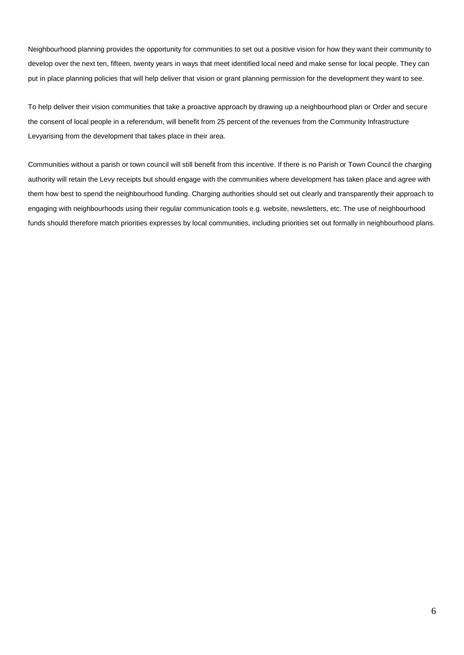Neighbourhood planning provides the opportunity for communities to set out a positive vision for how they want their community to develop over the next ten, fifteen, twenty years in ways that meet identified local need and make sense for local people. They can put in place planning policies that will help deliver that vision or grant planning permission for the development they want to see.

To help deliver their vision communities that take a proactive approach by drawing up a neighbourhood plan or Order and secure the consent of local people in a referendum, will benefit from 25 percent of the revenues from the Community Infrastructure Levyarising from the development that takes place in their area.

Communities without a parish or town council will still benefit from this incentive. If there is no Parish or Town Council the charging authority will retain the Levy receipts but should engage with the communities where development has taken place and agree with them how best to spend the neighbourhood funding. Charging authorities should set out clearly and transparently their approach to engaging with neighbourhoods using their regular communication tools e.g. website, newsletters, etc. The use of neighbourhood funds should therefore match priorities expresses by local communities, including priorities set out formally in neighbourhood plans.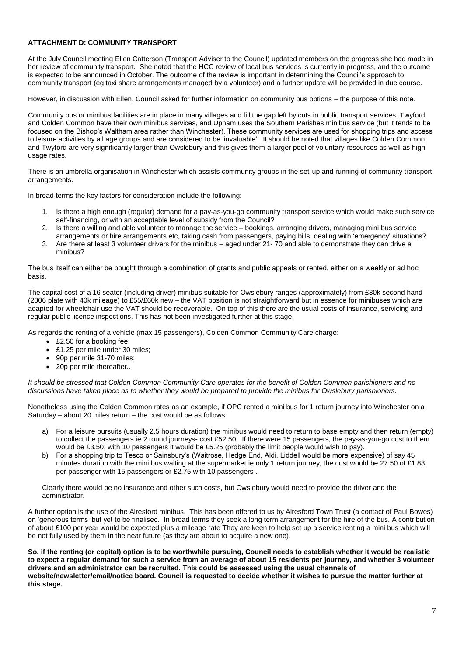### **ATTACHMENT D: COMMUNITY TRANSPORT**

At the July Council meeting Ellen Catterson (Transport Adviser to the Council) updated members on the progress she had made in her review of community transport. She noted that the HCC review of local bus services is currently in progress, and the outcome is expected to be announced in October. The outcome of the review is important in determining the Council's approach to community transport (eg taxi share arrangements managed by a volunteer) and a further update will be provided in due course.

However, in discussion with Ellen, Council asked for further information on community bus options – the purpose of this note.

Community bus or minibus facilities are in place in many villages and fill the gap left by cuts in public transport services. Twyford and Colden Common have their own minibus services, and Upham uses the Southern Parishes minibus service (but it tends to be focused on the Bishop's Waltham area rather than Winchester). These community services are used for shopping trips and access to leisure activities by all age groups and are considered to be 'invaluable'. It should be noted that villages like Colden Common and Twyford are very significantly larger than Owslebury and this gives them a larger pool of voluntary resources as well as high usage rates.

There is an umbrella organisation in Winchester which assists community groups in the set-up and running of community transport arrangements.

In broad terms the key factors for consideration include the following:

- 1. Is there a high enough (regular) demand for a pay-as-you-go community transport service which would make such service self-financing, or with an acceptable level of subsidy from the Council?
- 2. Is there a willing and able volunteer to manage the service bookings, arranging drivers, managing mini bus service arrangements or hire arrangements etc, taking cash from passengers, paying bills, dealing with 'emergency' situations?
- 3. Are there at least 3 volunteer drivers for the minibus aged under 21- 70 and able to demonstrate they can drive a minibus?

The bus itself can either be bought through a combination of grants and public appeals or rented, either on a weekly or ad hoc basis.

The capital cost of a 16 seater (including driver) minibus suitable for Owslebury ranges (approximately) from £30k second hand (2006 plate with 40k mileage) to £55/£60k new – the VAT position is not straightforward but in essence for minibuses which are adapted for wheelchair use the VAT should be recoverable. On top of this there are the usual costs of insurance, servicing and regular public licence inspections. This has not been investigated further at this stage.

As regards the renting of a vehicle (max 15 passengers), Colden Common Community Care charge:

- £2.50 for a booking fee:
- £1.25 per mile under 30 miles:
- 90p per mile 31-70 miles;
- 20p per mile thereafter...

*It should be stressed that Colden Common Community Care operates for the benefit of Colden Common parishioners and no discussions have taken place as to whether they would be prepared to provide the minibus for Owslebury parishioners.*

Nonetheless using the Colden Common rates as an example, if OPC rented a mini bus for 1 return journey into Winchester on a Saturday – about 20 miles return – the cost would be as follows:

- a) For a leisure pursuits (usually 2.5 hours duration) the minibus would need to return to base empty and then return (empty) to collect the passengers ie 2 round journeys- cost £52.50 If there were 15 passengers, the pay-as-you-go cost to them would be £3.50; with 10 passengers it would be £5.25 (probably the limit people would wish to pay).
- b) For a shopping trip to Tesco or Sainsbury's (Waitrose, Hedge End, Aldi, Liddell would be more expensive) of say 45 minutes duration with the mini bus waiting at the supermarket ie only 1 return journey, the cost would be 27.50 of £1.83 per passenger with 15 passengers or £2.75 with 10 passengers .

Clearly there would be no insurance and other such costs, but Owslebury would need to provide the driver and the administrator.

A further option is the use of the Alresford minibus. This has been offered to us by Alresford Town Trust (a contact of Paul Bowes) on 'generous terms' but yet to be finalised. In broad terms they seek a long term arrangement for the hire of the bus. A contribution of about £100 per year would be expected plus a mileage rate They are keen to help set up a service renting a mini bus which will be not fully used by them in the near future (as they are about to acquire a new one).

**So, if the renting (or capital) option is to be worthwhile pursuing, Council needs to establish whether it would be realistic to expect a regular demand for such a service from an average of about 15 residents per journey, and whether 3 volunteer drivers and an administrator can be recruited. This could be assessed using the usual channels of website/newsletter/email/notice board. Council is requested to decide whether it wishes to pursue the matter further at this stage.**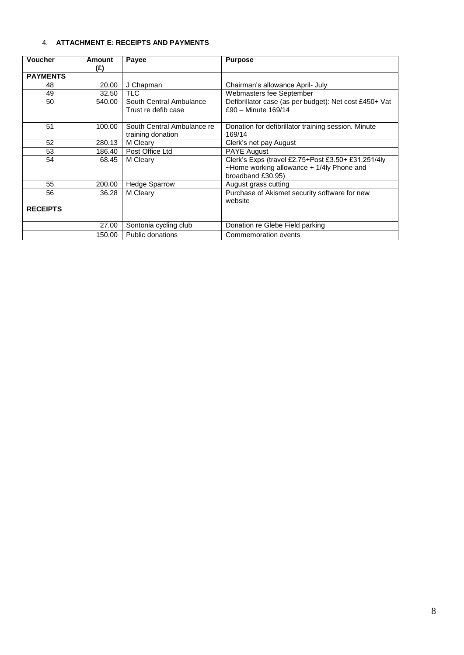## 4. **ATTACHMENT E: RECEIPTS AND PAYMENTS**

| <b>Voucher</b>                                        | Amount | Payee                      | <b>Purpose</b>                                         |
|-------------------------------------------------------|--------|----------------------------|--------------------------------------------------------|
|                                                       | (£)    |                            |                                                        |
| <b>PAYMENTS</b>                                       |        |                            |                                                        |
| 48                                                    | 20.00  | J Chapman                  | Chairman's allowance April- July                       |
| 49                                                    | 32.50  | <b>TLC</b>                 | Webmasters fee September                               |
| 50                                                    | 540.00 | South Central Ambulance    | Defibrillator case (as per budget): Net cost £450+ Vat |
|                                                       |        | Trust re defib case        | £90 - Minute 169/14                                    |
|                                                       |        |                            |                                                        |
| 51                                                    | 100.00 | South Central Ambulance re | Donation for defibrillator training session. Minute    |
|                                                       |        | training donation          | 169/14                                                 |
| 52<br>280.13                                          |        | M Cleary                   | Clerk's net pay August                                 |
| Post Office Ltd<br><b>PAYE August</b><br>53<br>186.40 |        |                            |                                                        |
| 54<br>68.45                                           |        | M Cleary                   | Clerk's Exps (travel £2.75+Post £3.50+ £31.251/4ly     |
|                                                       |        |                            | ~Home working allowance + 1/4ly Phone and              |
|                                                       |        |                            | broadband £30.95)                                      |
| 55                                                    | 200.00 | <b>Hedge Sparrow</b>       | August grass cutting                                   |
| 56                                                    | 36.28  | M Cleary                   | Purchase of Akismet security software for new          |
|                                                       |        |                            | website                                                |
| <b>RECEIPTS</b>                                       |        |                            |                                                        |
|                                                       |        |                            |                                                        |
|                                                       | 27.00  | Sontonia cycling club      | Donation re Glebe Field parking                        |
|                                                       | 150.00 | Public donations           | Commemoration events                                   |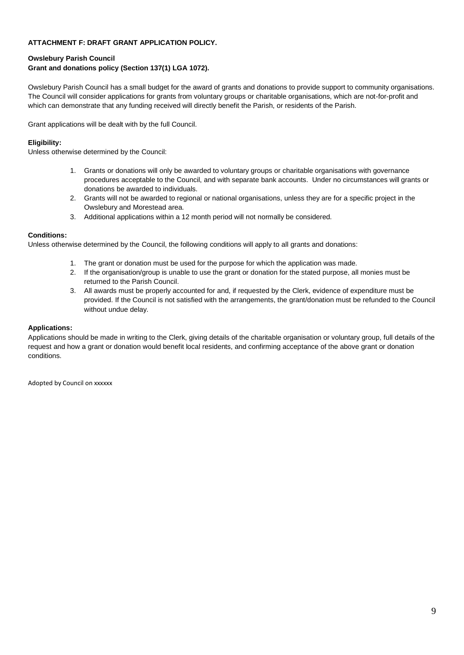### **ATTACHMENT F: DRAFT GRANT APPLICATION POLICY.**

## **Owslebury Parish Council Grant and donations policy (Section 137(1) LGA 1072).**

Owslebury Parish Council has a small budget for the award of grants and donations to provide support to community organisations. The Council will consider applications for grants from voluntary groups or charitable organisations, which are not-for-profit and which can demonstrate that any funding received will directly benefit the Parish, or residents of the Parish.

Grant applications will be dealt with by the full Council.

### **Eligibility:**

Unless otherwise determined by the Council:

- 1. Grants or donations will only be awarded to voluntary groups or charitable organisations with governance procedures acceptable to the Council, and with separate bank accounts. Under no circumstances will grants or donations be awarded to individuals.
- 2. Grants will not be awarded to regional or national organisations, unless they are for a specific project in the Owslebury and Morestead area.
- 3. Additional applications within a 12 month period will not normally be considered.

### **Conditions:**

Unless otherwise determined by the Council, the following conditions will apply to all grants and donations:

- 1. The grant or donation must be used for the purpose for which the application was made.
- 2. If the organisation/group is unable to use the grant or donation for the stated purpose, all monies must be returned to the Parish Council.
- 3. All awards must be properly accounted for and, if requested by the Clerk, evidence of expenditure must be provided. If the Council is not satisfied with the arrangements, the grant/donation must be refunded to the Council without undue delay.

### **Applications:**

Applications should be made in writing to the Clerk, giving details of the charitable organisation or voluntary group, full details of the request and how a grant or donation would benefit local residents, and confirming acceptance of the above grant or donation conditions.

Adopted by Council on xxxxxx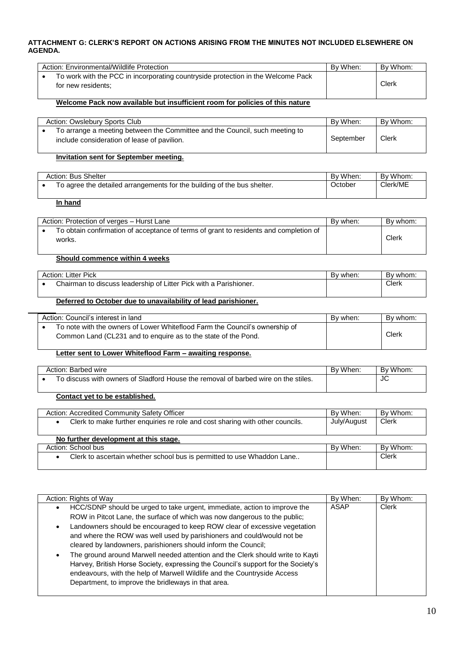### **ATTACHMENT G: CLERK'S REPORT ON ACTIONS ARISING FROM THE MINUTES NOT INCLUDED ELSEWHERE ON AGENDA.**

| Action: Environmental/Wildlife Protection                                                              | By When: | By Whom: |
|--------------------------------------------------------------------------------------------------------|----------|----------|
| To work with the PCC in incorporating countryside protection in the Welcome Pack<br>for new residents: |          | Clerk    |

### **Welcome Pack now available but insufficient room for policies of this nature**

| Action: Owslebury Sports Club                                                                                              | By When:  | By Whom: |
|----------------------------------------------------------------------------------------------------------------------------|-----------|----------|
| To arrange a meeting between the Committee and the Council, such meeting to<br>include consideration of lease of pavilion. | September | Clerk    |

### **Invitation sent for September meeting.**

| Action: Bus Shelter |                                                                         | By When: | By Whom: |
|---------------------|-------------------------------------------------------------------------|----------|----------|
|                     | To agree the detailed arrangements for the building of the bus shelter. | October  | Clerk/ME |

### **In hand**

| Action: Protection of verges - Hurst Lane                                                       | By when: | By whom: |
|-------------------------------------------------------------------------------------------------|----------|----------|
| To obtain confirmation of acceptance of terms of grant to residents and completion of<br>works. |          | Clerk    |

## **Should commence within 4 weeks**

| Action: Litter Pick |                                                                   | Bv when: | By whom: |
|---------------------|-------------------------------------------------------------------|----------|----------|
|                     | Chairman to discuss leadership of Litter Pick with a Parishioner. |          | Clerk    |

### **Deferred to October due to unavailability of lead parishioner.**

| Action: Council's interest in land                                                                                                            | By when: | By whom: |
|-----------------------------------------------------------------------------------------------------------------------------------------------|----------|----------|
| To note with the owners of Lower Whiteflood Farm the Council's ownership of<br>Common Land (CL231 and to enguire as to the state of the Pond. |          | Clerk    |

### **Letter sent to Lower Whiteflood Farm – awaiting response.**

| Action: Barbed wire                                                                | When.<br>Bv | Whom.<br>B٧ |
|------------------------------------------------------------------------------------|-------------|-------------|
| To discuss with owners of Sladford House the removal of barbed wire on the stiles. |             | JC          |
|                                                                                    |             |             |

## **Contact yet to be established.**

| Action: Accredited Community Safety Officer                                   | By When:    | By Whom: |
|-------------------------------------------------------------------------------|-------------|----------|
| Clerk to make further enquiries re role and cost sharing with other councils. | July/August | Clerk    |
|                                                                               |             |          |
| No further development at this stage.                                         |             |          |
| Action: School bus                                                            | By When:    | By Whom: |
| Clerk to ascertain whether school bus is permitted to use Whaddon Lane        |             | Clerk    |
|                                                                               |             |          |

| Action: Rights of Way                                                                                                                                                                                                                                                                                                                                                                                                                                                                                                                                                                                                                                                                                  | By When: | By Whom: |
|--------------------------------------------------------------------------------------------------------------------------------------------------------------------------------------------------------------------------------------------------------------------------------------------------------------------------------------------------------------------------------------------------------------------------------------------------------------------------------------------------------------------------------------------------------------------------------------------------------------------------------------------------------------------------------------------------------|----------|----------|
| HCC/SDNP should be urged to take urgent, immediate, action to improve the<br>ROW in Pitcot Lane, the surface of which was now dangerous to the public;<br>Landowners should be encouraged to keep ROW clear of excessive vegetation<br>$\bullet$<br>and where the ROW was well used by parishioners and could/would not be<br>cleared by landowners, parishioners should inform the Council;<br>The ground around Marwell needed attention and the Clerk should write to Kayti<br>Harvey, British Horse Society, expressing the Council's support for the Society's<br>endeavours, with the help of Marwell Wildlife and the Countryside Access<br>Department, to improve the bridleways in that area. | ASAP     | Clerk    |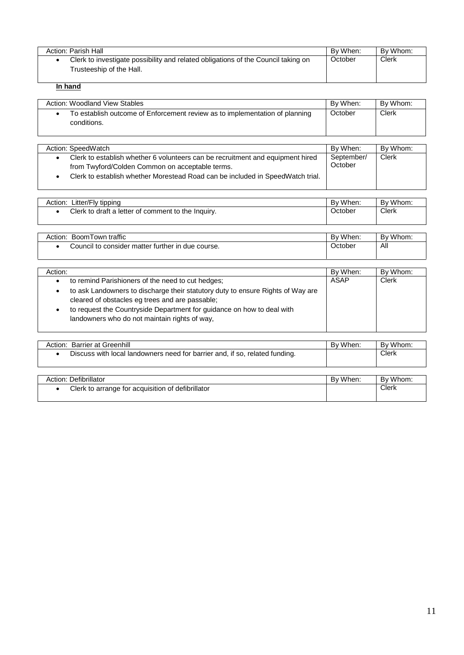| Action: Parish Hall                                                                                           | By When: | By Whom: |
|---------------------------------------------------------------------------------------------------------------|----------|----------|
| Clerk to investigate possibility and related obligations of the Council taking on<br>Trusteeship of the Hall. | October  | $C$ lerk |

# **In hand**

| By Whom:<br>Action: Woodland View Stables<br>By When:                                      |         |       |  |
|--------------------------------------------------------------------------------------------|---------|-------|--|
| To establish outcome of Enforcement review as to implementation of planning<br>conditions. | October | Clerk |  |

| Action: SpeedWatch                                                             | By When:   | By Whom: |
|--------------------------------------------------------------------------------|------------|----------|
| Clerk to establish whether 6 volunteers can be recruitment and equipment hired | September/ | Clerk    |
| from Twyford/Colden Common on acceptable terms.                                | October    |          |
| Clerk to establish whether Morestead Road can be included in SpeedWatch trial. |            |          |
|                                                                                |            |          |

| Litter/Fly tipping<br>Action:                      | By When: | By Whom: |
|----------------------------------------------------|----------|----------|
| Clerk to draft a letter of comment to the Inquiry. | Jctober  | Clerk    |
|                                                    |          |          |

| BoomTown traffic<br>Action:                       | By When: | By Whom. |
|---------------------------------------------------|----------|----------|
| Council to consider matter further in due course. | October  | All      |

| Action:                                                                                                                                                                                                                                                       | By When: | By Whom:     |
|---------------------------------------------------------------------------------------------------------------------------------------------------------------------------------------------------------------------------------------------------------------|----------|--------------|
| to remind Parishioners of the need to cut hedges;<br>٠                                                                                                                                                                                                        | ASAP     | <b>Clerk</b> |
| to ask Landowners to discharge their statutory duty to ensure Rights of Way are<br>cleared of obstacles eg trees and are passable;<br>to request the Countryside Department for guidance on how to deal with<br>landowners who do not maintain rights of way, |          |              |

| Action: Barrier at Greenhill                                                | By When. | By Whom. |
|-----------------------------------------------------------------------------|----------|----------|
| Discuss with local landowners need for barrier and, if so, related funding. |          | Clerk    |

| Action: Defibrillator                             | By When: | By Whom: |
|---------------------------------------------------|----------|----------|
| Clerk to arrange for acquisition of defibrillator |          | Clerk    |